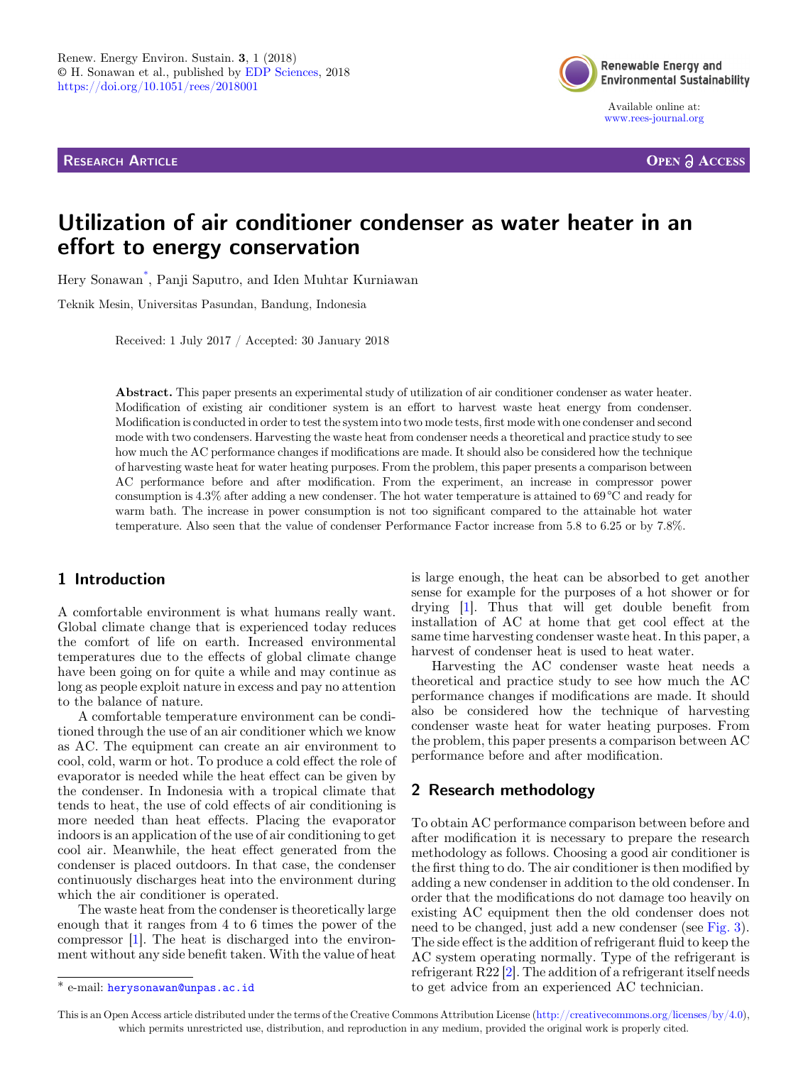RESEARCH ARTICLE



Available online at: [www.rees-journal.org](https://www.rees-journal.org)

**OPEN A ACCESS** 

# Utilization of air conditioner condenser as water heater in an effort to energy conservation

Hery Sonawan\* , Panji Saputro, and Iden Muhtar Kurniawan

Teknik Mesin, Universitas Pasundan, Bandung, Indonesia

Received: 1 July 2017 / Accepted: 30 January 2018

Abstract. This paper presents an experimental study of utilization of air conditioner condenser as water heater. Modification of existing air conditioner system is an effort to harvest waste heat energy from condenser. Modification is conducted in order to test the system into two mode tests, first mode with one condenser and second mode with two condensers. Harvesting the waste heat from condenser needs a theoretical and practice study to see how much the AC performance changes if modifications are made. It should also be considered how the technique of harvesting waste heat for water heating purposes. From the problem, this paper presents a comparison between AC performance before and after modification. From the experiment, an increase in compressor power consumption is 4.3% after adding a new condenser. The hot water temperature is attained to 69 °C and ready for warm bath. The increase in power consumption is not too significant compared to the attainable hot water temperature. Also seen that the value of condenser Performance Factor increase from 5.8 to 6.25 or by 7.8%.

### 1 Introduction

A comfortable environment is what humans really want. Global climate change that is experienced today reduces the comfort of life on earth. Increased environmental temperatures due to the effects of global climate change have been going on for quite a while and may continue as long as people exploit nature in excess and pay no attention to the balance of nature.

A comfortable temperature environment can be conditioned through the use of an air conditioner which we know as AC. The equipment can create an air environment to cool, cold, warm or hot. To produce a cold effect the role of evaporator is needed while the heat effect can be given by the condenser. In Indonesia with a tropical climate that tends to heat, the use of cold effects of air conditioning is more needed than heat effects. Placing the evaporator indoors is an application of the use of air conditioning to get cool air. Meanwhile, the heat effect generated from the condenser is placed outdoors. In that case, the condenser continuously discharges heat into the environment during which the air conditioner is operated.

The waste heat from the condenser is theoretically large enough that it ranges from 4 to 6 times the power of the compressor [[1\]](#page-3-0). The heat is discharged into the environment without any side benefit taken. With the value of heat

is large enough, the heat can be absorbed to get another sense for example for the purposes of a hot shower or for drying [[1\]](#page-3-0). Thus that will get double benefit from installation of AC at home that get cool effect at the same time harvesting condenser waste heat. In this paper, a harvest of condenser heat is used to heat water.

Harvesting the AC condenser waste heat needs a theoretical and practice study to see how much the AC performance changes if modifications are made. It should also be considered how the technique of harvesting condenser waste heat for water heating purposes. From the problem, this paper presents a comparison between AC performance before and after modification.

#### 2 Research methodology

To obtain AC performance comparison between before and after modification it is necessary to prepare the research methodology as follows. Choosing a good air conditioner is the first thing to do. The air conditioner is then modified by adding a new condenser in addition to the old condenser. In order that the modifications do not damage too heavily on existing AC equipment then the old condenser does not need to be changed, just add a new condenser (see [Fig. 3](#page-2-0)). The side effect is the addition of refrigerant fluid to keep the AC system operating normally. Type of the refrigerant is refrigerant R22 [[2\]](#page-3-0). The addition of a refrigerant itself needs \* e-mail: [herysonawan@unpas.ac.id](mailto:herysonawan@unpas.ac.id) to get advice from an experienced AC technician.

This is an Open Access article distributed under the terms of the Creative Commons Attribution License [\(http://creativecommons.org/licenses/by/4.0\)](http://creativecommons.org/licenses/by/4.0), which permits unrestricted use, distribution, and reproduction in any medium, provided the original work is properly cited.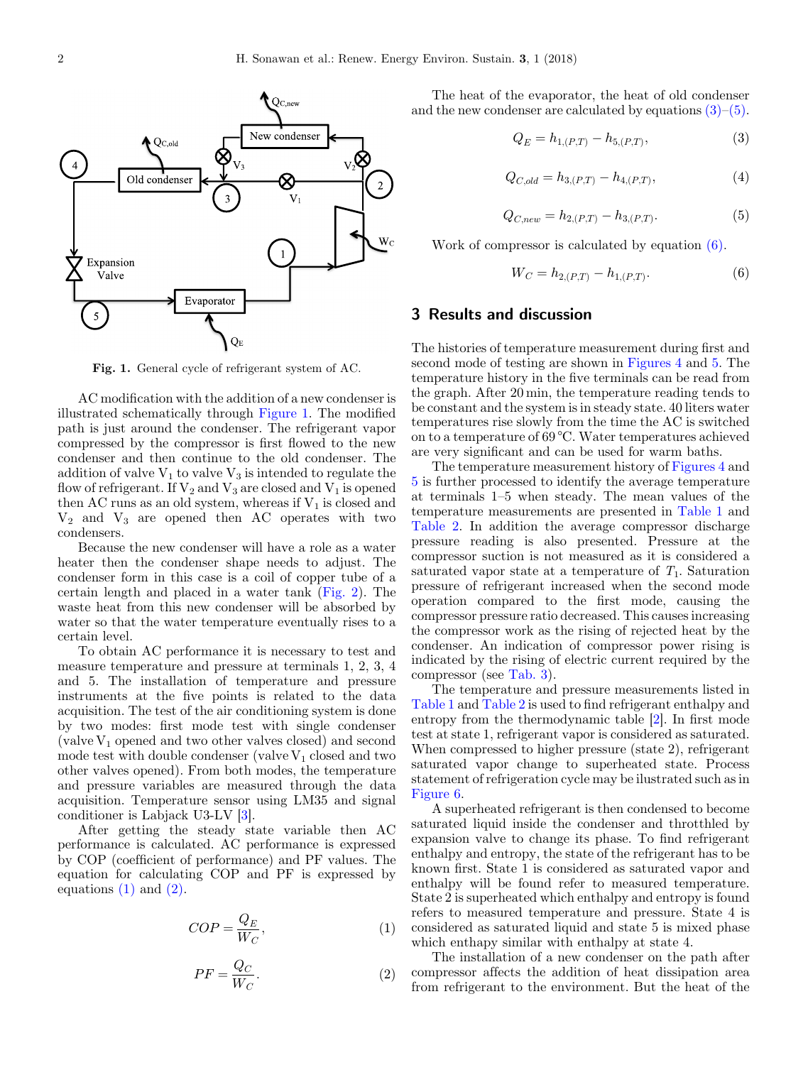<span id="page-1-0"></span>

Fig. 1. General cycle of refrigerant system of AC.

AC modification with the addition of a new condenser is illustrated schematically through Figure 1. The modified path is just around the condenser. The refrigerant vapor compressed by the compressor is first flowed to the new condenser and then continue to the old condenser. The addition of valve  $V_1$  to valve  $V_3$  is intended to regulate the flow of refrigerant. If  $V_2$  and  $V_3$  are closed and  $V_1$  is opened then AC runs as an old system, whereas if  $V_1$  is closed and  $V_2$  and  $V_3$  are opened then AC operates with two condensers.

Because the new condenser will have a role as a water heater then the condenser shape needs to adjust. The condenser form in this case is a coil of copper tube of a certain length and placed in a water tank ([Fig. 2](#page-2-0)). The waste heat from this new condenser will be absorbed by water so that the water temperature eventually rises to a certain level.

To obtain AC performance it is necessary to test and measure temperature and pressure at terminals 1, 2, 3, 4 and 5. The installation of temperature and pressure instruments at the five points is related to the data acquisition. The test of the air conditioning system is done by two modes: first mode test with single condenser (valve  $V_1$  opened and two other valves closed) and second mode test with double condenser (valve  $V_1$  closed and two other valves opened). From both modes, the temperature and pressure variables are measured through the data acquisition. Temperature sensor using LM35 and signal conditioner is Labjack U3-LV [[3\]](#page-3-0).

After getting the steady state variable then AC performance is calculated. AC performance is expressed by COP (coefficient of performance) and PF values. The equation for calculating COP and PF is expressed by equations  $(1)$  and  $(2)$ .

$$
COP = \frac{Q_E}{W_C},\tag{1}
$$

$$
PF = \frac{Q_C}{W_C}.\tag{2}
$$

The heat of the evaporator, the heat of old condenser and the new condenser are calculated by equations  $(3)$ – $(5)$ .

$$
Q_E = h_{1,(P,T)} - h_{5,(P,T)},
$$
\n(3)

$$
Q_{C,old} = h_{3,(P,T)} - h_{4,(P,T)},
$$
\n(4)

$$
Q_{C,new} = h_{2,(P,T)} - h_{3,(P,T)}.
$$
\n(5)

Work of compressor is calculated by equation (6).

$$
W_C = h_{2,(P,T)} - h_{1,(P,T)}.
$$
\n(6)

#### 3 Results and discussion

The histories of temperature measurement during first and second mode of testing are shown in [Figures 4](#page-2-0) and [5.](#page-3-0) The temperature history in the five terminals can be read from the graph. After 20 min, the temperature reading tends to be constant and the system is in steady state. 40 liters water temperatures rise slowly from the time the AC is switched on to a temperature of 69 °C. Water temperatures achieved are very significant and can be used for warm baths.

The temperature measurement history of [Figures 4](#page-2-0) and [5](#page-3-0) is further processed to identify the average temperature at terminals 1–5 when steady. The mean values of the temperature measurements are presented in [Table 1](#page-2-0) and [Table 2](#page-2-0). In addition the average compressor discharge pressure reading is also presented. Pressure at the compressor suction is not measured as it is considered a saturated vapor state at a temperature of  $T_1$ . Saturation pressure of refrigerant increased when the second mode operation compared to the first mode, causing the compressor pressure ratio decreased. This causes increasing the compressor work as the rising of rejected heat by the condenser. An indication of compressor power rising is indicated by the rising of electric current required by the compressor (see [Tab. 3\)](#page-2-0).

The temperature and pressure measurements listed in [Table 1](#page-2-0) and [Table 2](#page-2-0) is used to find refrigerant enthalpy and entropy from the thermodynamic table [\[2](#page-3-0)]. In first mode test at state 1, refrigerant vapor is considered as saturated. When compressed to higher pressure (state 2), refrigerant saturated vapor change to superheated state. Process statement of refrigeration cycle may be ilustrated such as in [Figure 6.](#page-3-0)

A superheated refrigerant is then condensed to become saturated liquid inside the condenser and throtthled by expansion valve to change its phase. To find refrigerant enthalpy and entropy, the state of the refrigerant has to be known first. State 1 is considered as saturated vapor and enthalpy will be found refer to measured temperature. State 2 is superheated which enthalpy and entropy is found refers to measured temperature and pressure. State 4 is considered as saturated liquid and state 5 is mixed phase which enthapy similar with enthalpy at state 4.

The installation of a new condenser on the path after compressor affects the addition of heat dissipation area from refrigerant to the environment. But the heat of the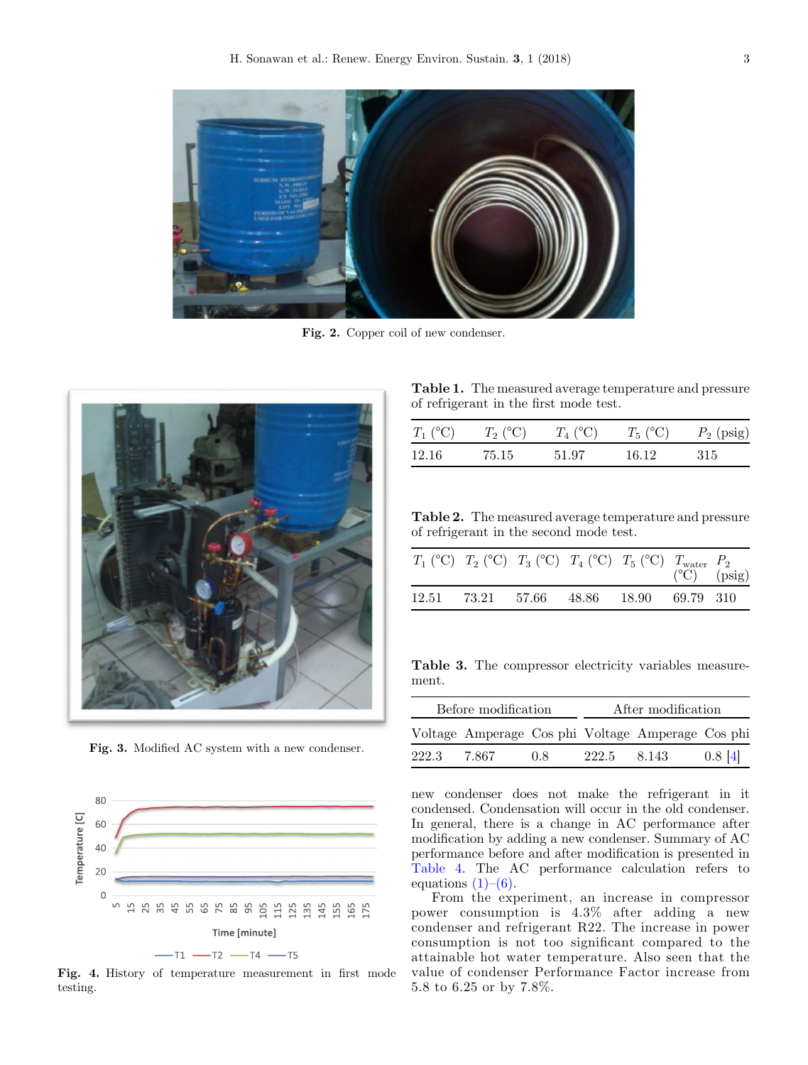<span id="page-2-0"></span>

Fig. 2. Copper coil of new condenser.



Fig. 3. Modified AC system with a new condenser.



Fig. 4. History of temperature measurement in first mode testing.

Table 1. The measured average temperature and pressure of refrigerant in the first mode test.

| $T_1$ (°C) | $T_2$ (°C) | $T_4$ (°C) | $T_5$ (°C) | $P_2$ (psig) |
|------------|------------|------------|------------|--------------|
| 12.16      | 75.15      | 51.97      | 16 12      | -315         |

Table 2. The measured average temperature and pressure of refrigerant in the second mode test.

|  | $T_1$ (°C) $T_2$ (°C) $T_3$ (°C) $T_4$ (°C) $T_5$ (°C) $T_{\text{water}}$ $P_2$ | $(^{\circ}C)$ (psig) |  |
|--|---------------------------------------------------------------------------------|----------------------|--|
|  | 12.51 73.21 57.66 48.86 18.90 69.79 310                                         |                      |  |

Table 3. The compressor electricity variables measurement.

| Before modification |                                                 |     | After modification |         |              |
|---------------------|-------------------------------------------------|-----|--------------------|---------|--------------|
|                     | Voltage Amperage Cosphi Voltage Amperage Cosphi |     |                    |         |              |
| 222.3               | 7.867                                           | 0.8 | 222.5              | 8 1 4 3 | $0.8 \; [4]$ |

new condenser does not make the refrigerant in it condensed. Condensation will occur in the old condenser. In general, there is a change in AC performance after modification by adding a new condenser. Summary of AC performance before and after modification is presented in [Table 4.](#page-3-0) The AC performance calculation refers to equations  $(1)$ – $(6)$ .

From the experiment, an increase in compressor power consumption is 4.3% after adding a new condenser and refrigerant R22. The increase in power consumption is not too significant compared to the attainable hot water temperature. Also seen that the value of condenser Performance Factor increase from 5.8 to 6.25 or by 7.8%.